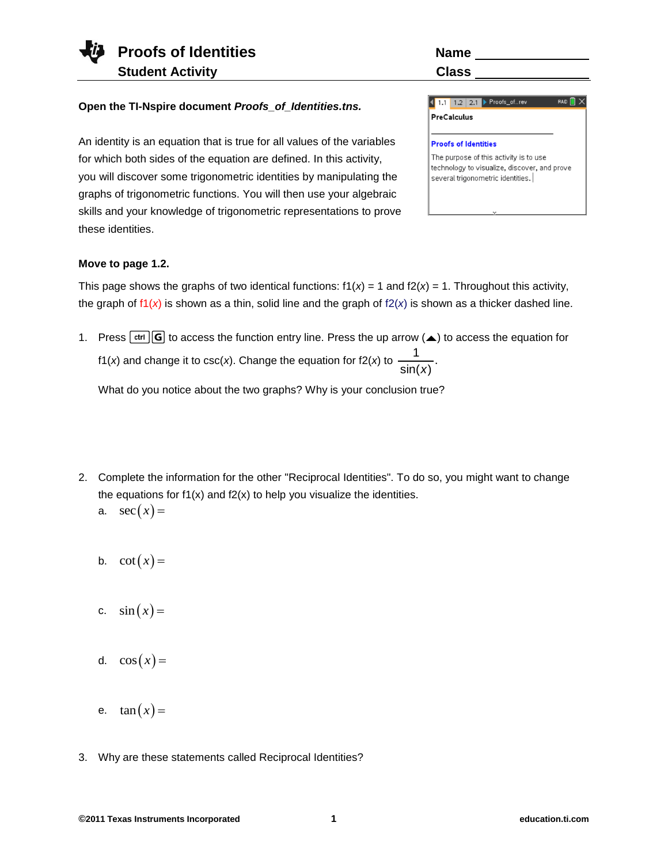### **Open the TI-Nspire document** *Proofs\_of\_Identities.tns.*

An identity is an equation that is true for all values of the variables for which both sides of the equation are defined. In this activity, you will discover some trigonometric identities by manipulating the graphs of trigonometric functions. You will then use your algebraic skills and your knowledge of trigonometric representations to prove these identities.

several trigonometric identities.

1.1 1.2 2.1 Proofs\_of... rev  $RAD$   $\bigcap$   $\times$ PreCalculus **Proofs of Identities** The purpose of this activity is to use technology to visualize, discover, and prove

## **Move to page 1.2.**

This page shows the graphs of two identical functions:  $f(x) = 1$  and  $f(2(x) = 1$ . Throughout this activity, the graph of  $f(x)$  is shown as a thin, solid line and the graph of  $f(x)$  is shown as a thicker dashed line.

1. Press  $[\text{ctr}]\text{G}$  to access the function entry line. Press the up arrow ( $\blacktriangle$ ) to access the equation for f1(*x*) and change it to csc(*x*). Change the equation for f2(*x*) to  $\frac{1}{\sqrt{1-\frac{1}{x^2}}}$ .  $sin(x)$ 

What do you notice about the two graphs? Why is your conclusion true?

- 2. Complete the information for the other "Reciprocal Identities". To do so, you might want to change the equations for  $f1(x)$  and  $f2(x)$  to help you visualize the identities.
	- a.  $sec(x) =$
	- b.  $\cot(x) =$
	- c.  $sin(x) =$
	- d.  $\cos(x) =$
	- e.  $\tan(x) =$
- 3. Why are these statements called Reciprocal Identities?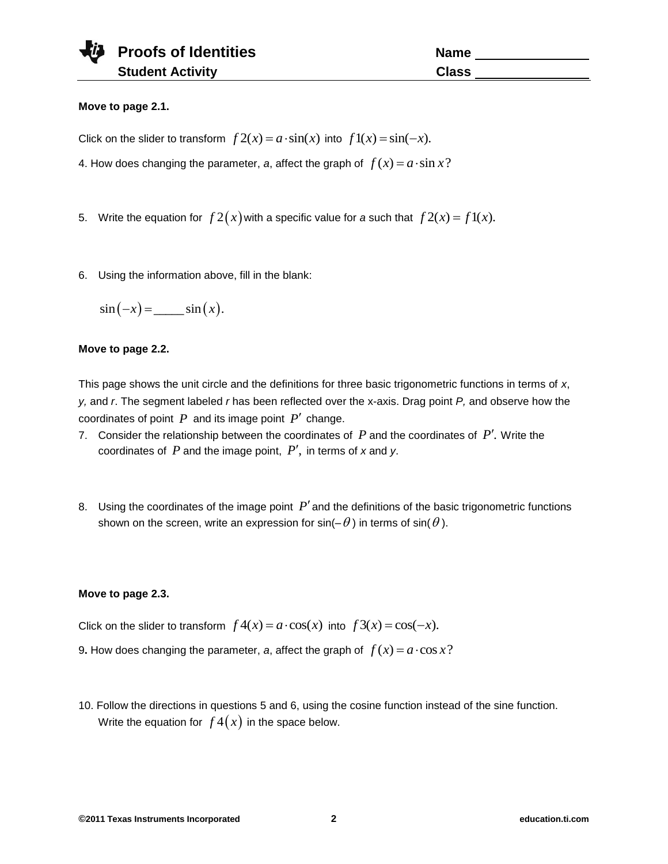## **Move to page 2.1.**

Click on the slider to transform  $f 2(x) = a \cdot \sin(x)$  into  $f1(x) = \sin(-x)$ .

4. How does changing the parameter, a, affect the graph of  $f(x) = a \cdot \sin x$ ?

5. Write the equation for  $f 2(x)$  with a specific value for a such that  $f 2(x) = f 1(x)$ .

6. Using the information above, fill in the blank:

$$
\sin(-x) = \underline{\qquad} \sin(x).
$$

#### **Move to page 2.2.**

This page shows the unit circle and the definitions for three basic trigonometric functions in terms of *x*, *y,* and *r*. The segment labeled *r* has been reflected over the x-axis. Drag point *P,* and observe how the coordinates of point  $P$  and its image point  $P'$  change.

- 7. Consider the relationship between the coordinates of  $P$  and the coordinates of  $P'$ . Write the coordinates of  $P$  and the image point,  $P'$ , in terms of  $x$  and  $y$ .
- 8. Using the coordinates of the image point  $P'$  and the definitions of the basic trigonometric functions shown on the screen, write an expression for sin(–  $\theta$  ) in terms of sin(  $\theta$  ).

#### **Move to page 2.3.**

Click on the slider to transform  $f 4(x) = a \cdot cos(x)$  into  $f 3(x) = cos(-x)$ .

- 9. How does changing the parameter, a, affect the graph of  $f(x) = a \cdot \cos x$ ?
- 10. Follow the directions in questions 5 and 6, using the cosine function instead of the sine function. Write the equation for  $\,f\,4(\,x)\,$  in the space below.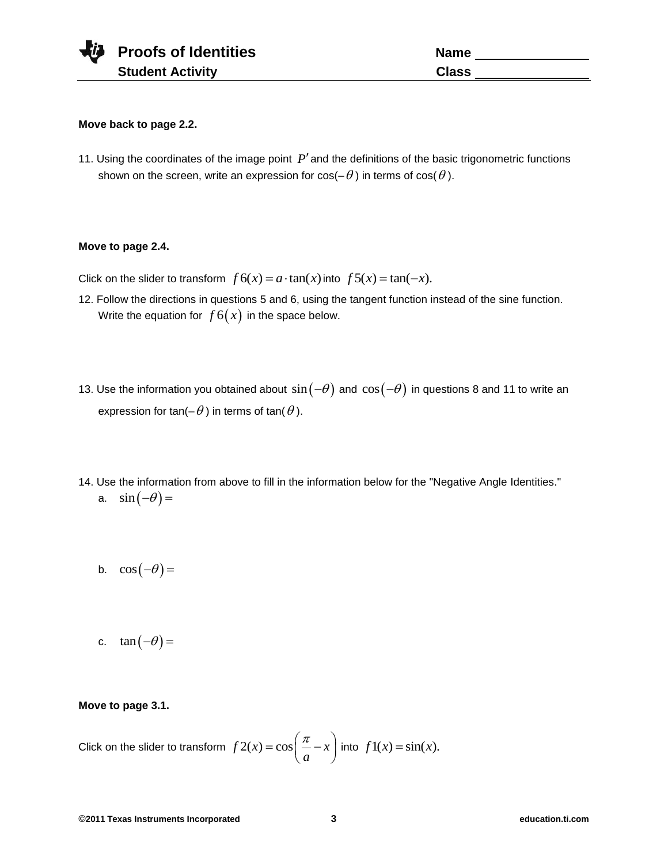#### **Move back to page 2.2.**

11. Using the coordinates of the image point  $P'$  and the definitions of the basic trigonometric functions shown on the screen, write an expression for cos(–  $\theta$  ) in terms of cos(  $\theta$  ).

## **Move to page 2.4.**

Click on the slider to transform  $f 6(x) = a \cdot \tan(x)$  into  $f 5(x) = \tan(-x)$ .

- 12. Follow the directions in questions 5 and 6, using the tangent function instead of the sine function. Write the equation for  $\,f\hskip.7pt6(x)\,$  in the space below.
- 13. Use the information you obtained about  $\sin(-\theta)$  and  $\cos(-\theta)$  in questions 8 and 11 to write an expression for tan(–  $\theta$  ) in terms of tan(  $\theta$  ).
- 14. Use the information from above to fill in the information below for the "Negative Angle Identities." a.  $\sin(-\theta) =$ 
	- b.  $\cos(-\theta) =$
	- c.  $\tan(-\theta) =$

#### **Move to page 3.1.**

Click on the slider to transform  $\int f 2(x) = \cos \left( \frac{\pi}{2} - x \right)$ *a*  $=\cos\left(\frac{\pi}{a} - x\right)$  into  $f1(x) = \sin(x)$ .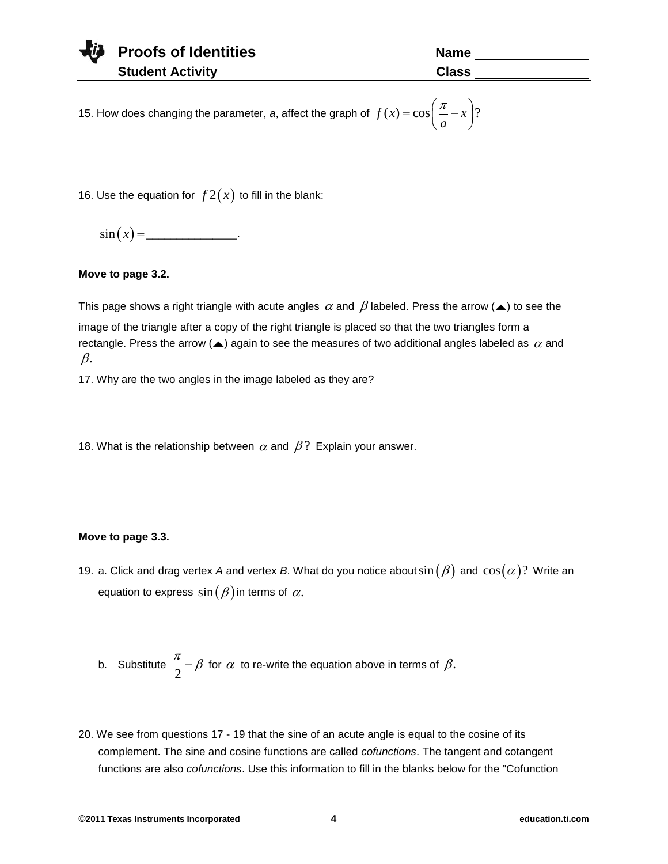| <b>Vill</b> Proofs of Identities | <b>Name</b> |
|----------------------------------|-------------|
| <b>Student Activity</b>          | Class       |

15. How does changing the parameter, *a*, affect the graph of  $f(x) = cos \left( \frac{\pi}{2} - x \right)$ ? *a*  $=\cos\left(\frac{\pi}{a}-x\right)?$ 

16. Use the equation for  $f2(x)$  to fill in the blank:

 $\sin(x) =$  \_\_\_\_\_\_\_\_\_\_\_\_\_\_\_\_\_\_.

# **Move to page 3.2.**

This page shows a right triangle with acute angles  $\,\alpha$  and  $\,\beta$  labeled. Press the arrow ( $\blacktriangle$ ) to see the image of the triangle after a copy of the right triangle is placed so that the two triangles form a rectangle. Press the arrow ( $\blacktriangle$ ) again to see the measures of two additional angles labeled as  $\,\alpha$  and  $\beta$ .

17. Why are the two angles in the image labeled as they are?

18. What is the relationship between  $\alpha$  and  $\beta$ ? Explain your answer.

# **Move to page 3.3.**

19. a. Click and drag vertex *A* and vertex *B*. What do you notice about $\sin(\beta)$  and  $\cos(\alpha)$ ? Write an equation to express  $\sin(\beta)$  in terms of  $\alpha.$ 

b. Substitute 
$$
\frac{\pi}{2} - \beta
$$
 for  $\alpha$  to re-write the equation above in terms of  $\beta$ .

20. We see from questions 17 - 19 that the sine of an acute angle is equal to the cosine of its complement. The sine and cosine functions are called *cofunctions*. The tangent and cotangent functions are also *cofunctions*. Use this information to fill in the blanks below for the "Cofunction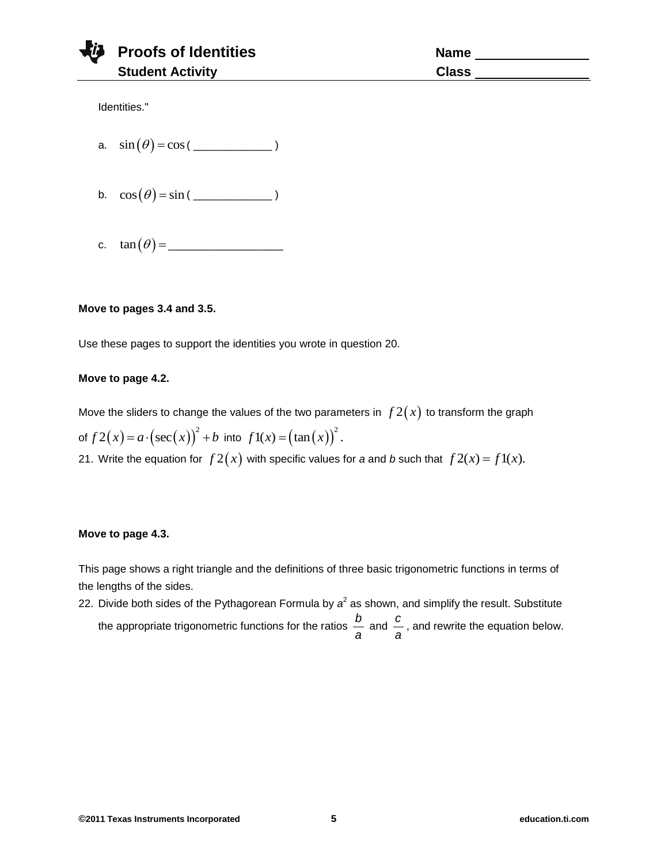|  | Proofs of Identities    | Name         |
|--|-------------------------|--------------|
|  | <b>Student Activity</b> | <b>Class</b> |

Identities."

- a.  $\sin(\theta) = \cos(\frac{\theta}{\cos \theta})$
- b.  $\cos(\theta) = \sin(\frac{\pi}{2})$
- c. tan \_\_\_\_\_\_\_\_\_\_\_\_\_\_\_\_\_\_\_

### **Move to pages 3.4 and 3.5.**

Use these pages to support the identities you wrote in question 20.

## **Move to page 4.2.**

Move the sliders to change the values of the two parameters in  $\,f\,2(x)\,$  to transform the graph of  $f2(x) = a \cdot (\sec(x))^2 + b$  into  $f1(x) = (\tan(x))^2$ . 21. Write the equation for  $f(2(x))$  with specific values for a and b such that  $f(2(x)) = f(1(x))$ .

#### **Move to page 4.3.**

This page shows a right triangle and the definitions of three basic trigonometric functions in terms of the lengths of the sides.

22. Divide both sides of the Pythagorean Formula by  $a^2$  as shown, and simplify the result. Substitute the appropriate trigonometric functions for the ratios *b*  $rac{b}{a}$  and  $rac{c}{a}$  $\tilde{\overline{a}}$ , and rewrite the equation below.<br>*a*